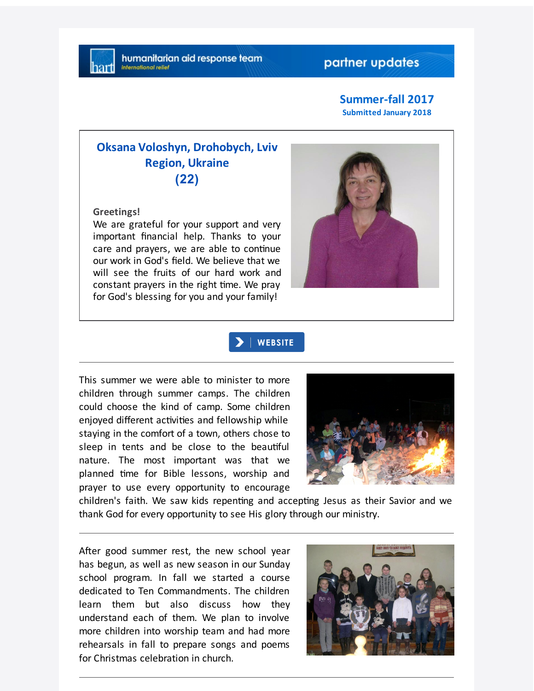# partner updates

**Summer-fall 2017 Submitted January 2018**

# **Oksana Voloshyn, Drohobych, Lviv Region, Ukraine (22)**

**Greetings!**

We are grateful for your support and very important financial help. Thanks to your care and prayers, we are able to continue our work in God's field. We believe that we will see the fruits of our hard work and constant prayers in the right time. We pray for God's blessing for you and your family!



### | WEBSITE

This summer we were able to minister to more children through summer camps. The children could choose the kind of camp. Some children enjoyed different activities and fellowship while staying in the comfort of a town, others chose to sleep in tents and be close to the beautiful nature. The most important was that we planned time for Bible lessons, worship and prayer to use every opportunity to encourage



children's faith. We saw kids repenting and accepting Jesus as their Savior and we thank God for every opportunity to see His glory through our ministry.

After good summer rest, the new school year has begun, as well as new season in our Sunday school program. In fall we started a course dedicated to Ten Commandments. The children learn them but also discuss how they understand each of them. We plan to involve more children into worship team and had more rehearsals in fall to prepare songs and poems for Christmas celebration in church.